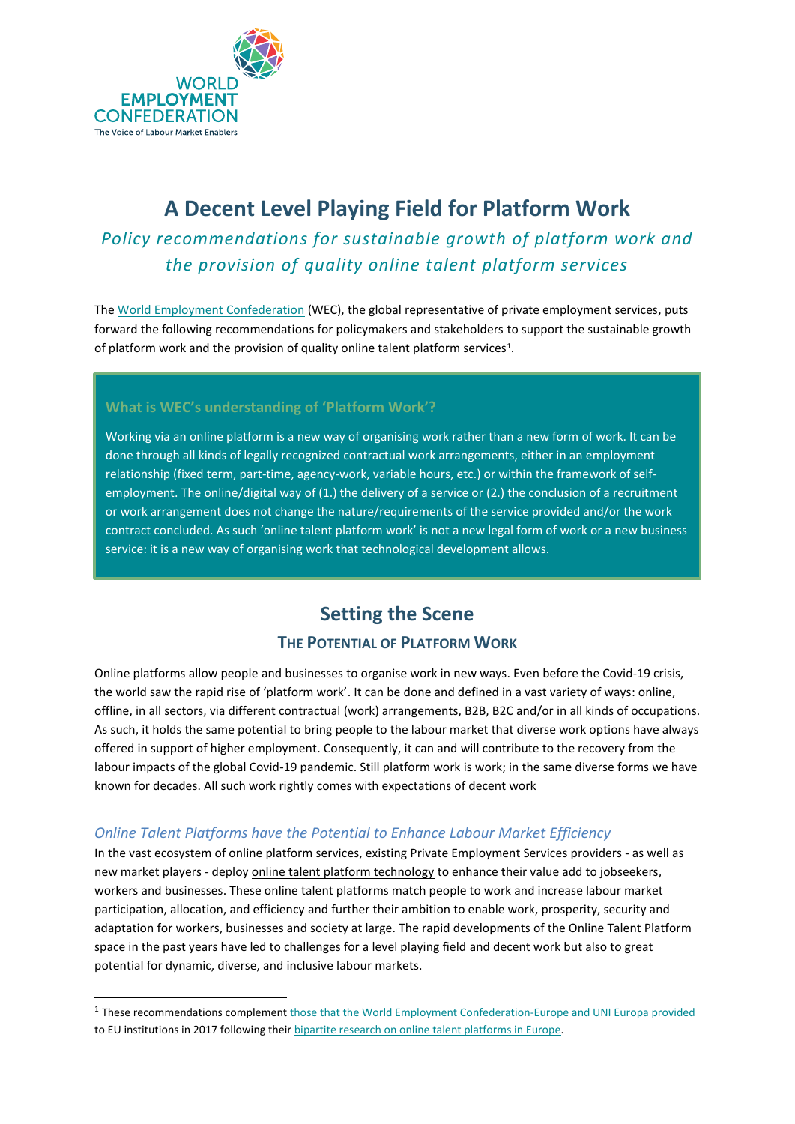

## *Policy recommendations for sustainable growth of platform work and the provision of quality online talent platform services*

The [World Employment Confederation](http://www.wecglobal.org/) (WEC), the global representative of private employment services, puts forward the following recommendations for policymakers and stakeholders to support the sustainable growth of platform work and the provision of quality online talent platform services<sup>1</sup>.

### **What is WEC's understanding of 'Platform Work'?**

Working via an online platform is a new way of organising work rather than a new form of work. It can be done through all kinds of legally recognized contractual work arrangements, either in an employment relationship (fixed term, part-time, agency-work, variable hours, etc.) or within the framework of selfemployment. The online/digital way of (1.) the delivery of a service or (2.) the conclusion of a recruitment or work arrangement does not change the nature/requirements of the service provided and/or the work contract concluded. As such 'online talent platform work' is not a new legal form of work or a new business service: it is a new way of organising work that technological development allows.

## **Setting the Scene**

## **THE POTENTIAL OF PLATFORM WORK**

Online platforms allow people and businesses to organise work in new ways. Even before the Covid-19 crisis, the world saw the rapid rise of 'platform work'. It can be done and defined in a vast variety of ways: online, offline, in all sectors, via different contractual (work) arrangements, B2B, B2C and/or in all kinds of occupations. As such, it holds the same potential to bring people to the labour market that diverse work options have always offered in support of higher employment. Consequently, it can and will contribute to the recovery from the labour impacts of the global Covid-19 pandemic. Still platform work is work; in the same diverse forms we have known for decades. All such work rightly comes with expectations of decent work

## *Online Talent Platforms have the Potential to Enhance Labour Market Efficiency*

In the vast ecosystem of online platform services, existing Private Employment Services providers - as well as new market players - deploy online talent platform technology to enhance their value add to jobseekers, workers and businesses. These online talent platforms match people to work and increase labour market participation, allocation, and efficiency and further their ambition to enable work, prosperity, security and adaptation for workers, businesses and society at large. The rapid developments of the Online Talent Platform space in the past years have led to challenges for a level playing field and decent work but also to great potential for dynamic, diverse, and inclusive labour markets.

<sup>&</sup>lt;sup>1</sup> These recommendations complement *those that the World Employment Confederation-Europe and UNI Europa provided* to EU institutions in 2017 following their bipartite [research on online talent platforms in Europe.](https://www.weceurope.org/uploads/2019/07/2018_WECEU_Executive-Summary-Study-Online-Platform.pdf)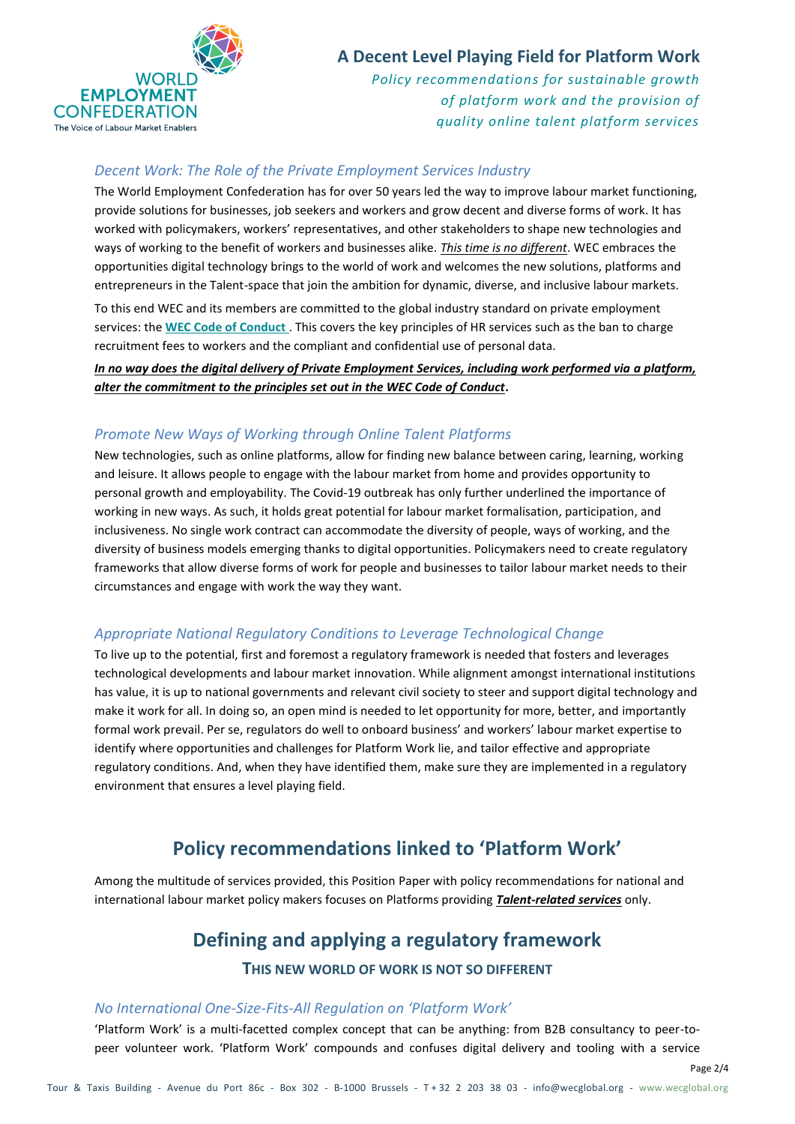

*Policy recommendations for sustainable growth of platform work and the provision of quality online talent platform services*

## *Decent Work: The Role of the Private Employment Services Industry*

The World Employment Confederation has for over 50 years led the way to improve labour market functioning, provide solutions for businesses, job seekers and workers and grow decent and diverse forms of work. It has worked with policymakers, workers' representatives, and other stakeholders to shape new technologies and ways of working to the benefit of workers and businesses alike. *This time is no different*. WEC embraces the opportunities digital technology brings to the world of work and welcomes the new solutions, platforms and entrepreneurs in the Talent-space that join the ambition for dynamic, diverse, and inclusive labour markets. To this end WEC and its members are committed to the global industry standard on private employment services: the **[WEC Code of Conduct](https://www.wecglobal.org/world-employment-confederation-global/code-of-conduct-2/)** . This covers the key principles of HR services such as the ban to charge recruitment fees to workers and the compliant and confidential use of personal data.

*In no way does the digital delivery of Private Employment Services, including work performed via a platform, alter the commitment to the principles set out in the WEC Code of Conduct***.**

## *Promote New Ways of Working through Online Talent Platforms*

New technologies, such as online platforms, allow for finding new balance between caring, learning, working and leisure. It allows people to engage with the labour market from home and provides opportunity to personal growth and employability. The Covid-19 outbreak has only further underlined the importance of working in new ways. As such, it holds great potential for labour market formalisation, participation, and inclusiveness. No single work contract can accommodate the diversity of people, ways of working, and the diversity of business models emerging thanks to digital opportunities. Policymakers need to create regulatory frameworks that allow diverse forms of work for people and businesses to tailor labour market needs to their circumstances and engage with work the way they want.

### *Appropriate National Regulatory Conditions to Leverage Technological Change*

To live up to the potential, first and foremost a regulatory framework is needed that fosters and leverages technological developments and labour market innovation. While alignment amongst international institutions has value, it is up to national governments and relevant civil society to steer and support digital technology and make it work for all. In doing so, an open mind is needed to let opportunity for more, better, and importantly formal work prevail. Per se, regulators do well to onboard business' and workers' labour market expertise to identify where opportunities and challenges for Platform Work lie, and tailor effective and appropriate regulatory conditions. And, when they have identified them, make sure they are implemented in a regulatory environment that ensures a level playing field.

## **Policy recommendations linked to 'Platform Work'**

Among the multitude of services provided, this Position Paper with policy recommendations for national and international labour market policy makers focuses on Platforms providing *Talent-related services* only.

## **Defining and applying a regulatory framework**

#### **THIS NEW WORLD OF WORK IS NOT SO DIFFERENT**

### *No International One-Size-Fits-All Regulation on 'Platform Work'*

'Platform Work' is a multi-facetted complex concept that can be anything: from B2B consultancy to peer-topeer volunteer work. 'Platform Work' compounds and confuses digital delivery and tooling with a service

Page 2/4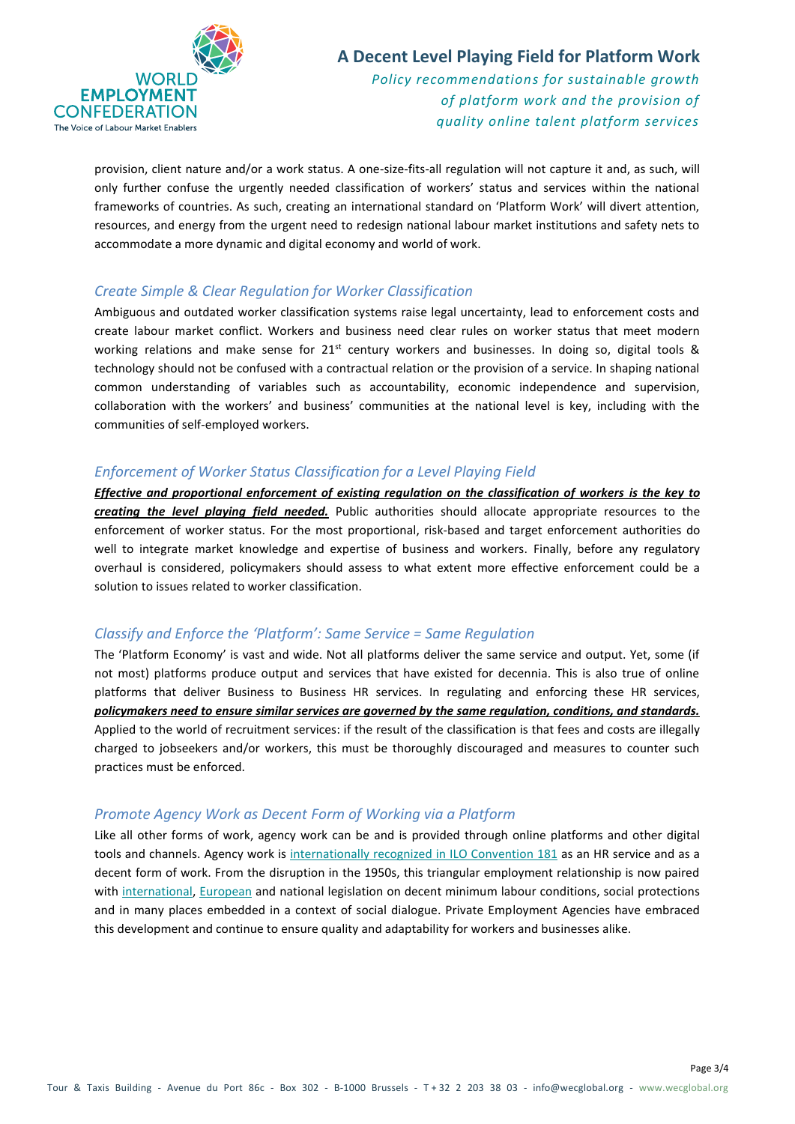

*Policy recommendations for sustainable growth of platform work and the provision of quality online talent platform services*

provision, client nature and/or a work status. A one-size-fits-all regulation will not capture it and, as such, will only further confuse the urgently needed classification of workers' status and services within the national frameworks of countries. As such, creating an international standard on 'Platform Work' will divert attention, resources, and energy from the urgent need to redesign national labour market institutions and safety nets to accommodate a more dynamic and digital economy and world of work.

### *Create Simple & Clear Regulation for Worker Classification*

Ambiguous and outdated worker classification systems raise legal uncertainty, lead to enforcement costs and create labour market conflict. Workers and business need clear rules on worker status that meet modern working relations and make sense for  $21^{st}$  century workers and businesses. In doing so, digital tools & technology should not be confused with a contractual relation or the provision of a service. In shaping national common understanding of variables such as accountability, economic independence and supervision, collaboration with the workers' and business' communities at the national level is key, including with the communities of self-employed workers.

#### *Enforcement of Worker Status Classification for a Level Playing Field*

*Effective and proportional enforcement of existing regulation on the classification of workers is the key to creating the level playing field needed.* Public authorities should allocate appropriate resources to the enforcement of worker status. For the most proportional, risk-based and target enforcement authorities do well to integrate market knowledge and expertise of business and workers. Finally, before any regulatory overhaul is considered, policymakers should assess to what extent more effective enforcement could be a solution to issues related to worker classification.

#### *Classify and Enforce the 'Platform': Same Service = Same Regulation*

The 'Platform Economy' is vast and wide. Not all platforms deliver the same service and output. Yet, some (if not most) platforms produce output and services that have existed for decennia. This is also true of online platforms that deliver Business to Business HR services. In regulating and enforcing these HR services, *policymakers need to ensure similar services are governed by the same regulation, conditions, and standards.* Applied to the world of recruitment services: if the result of the classification is that fees and costs are illegally charged to jobseekers and/or workers, this must be thoroughly discouraged and measures to counter such practices must be enforced.

#### *Promote Agency Work as Decent Form of Working via a Platform*

Like all other forms of work, agency work can be and is provided through online platforms and other digital tools and channels. Agency work is [internationally recognized in ILO Convention 181](https://wecglobal.org/private-employment-industry/agency-work/) as an HR service and as a decent form of work. From the disruption in the 1950s, this triangular employment relationship is now paired with [international,](https://www.ilo.org/dyn/normlex/en/f?p=1000:12100:0::NO::P12100_INSTRUMENT_ID:312326) [European](https://ec.europa.eu/social/main.jsp?catId=706&langId=en&intPageId=207) and national legislation on decent minimum labour conditions, social protections and in many places embedded in a context of social dialogue. Private Employment Agencies have embraced this development and continue to ensure quality and adaptability for workers and businesses alike.